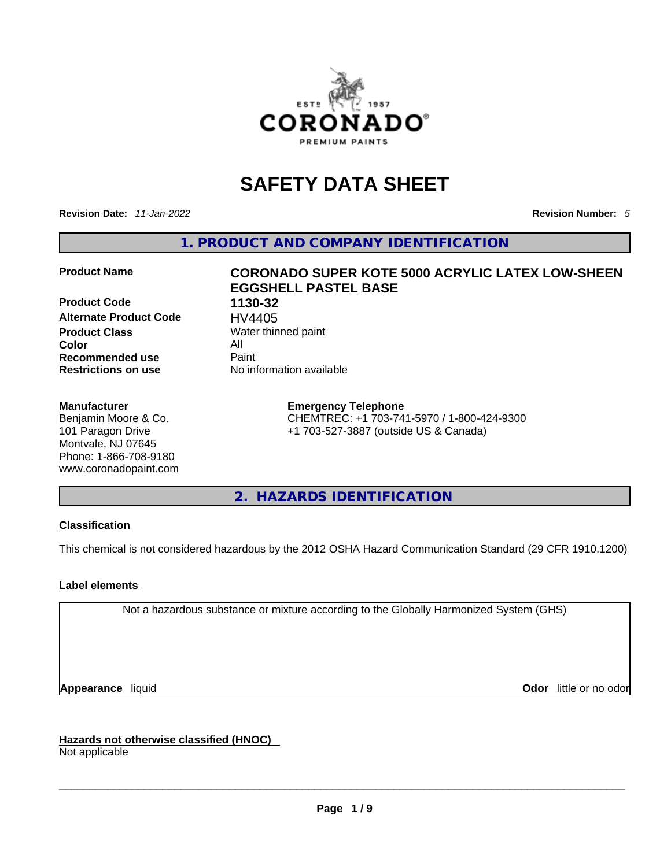

## **SAFETY DATA SHEET**

**Revision Date:** *11-Jan-2022* **Revision Number:** *5*

**1. PRODUCT AND COMPANY IDENTIFICATION** 

**Product Code 1130-32 Alternate Product Code HV4405**<br>**Product Class** Water thin **Color** All **Recommended use All Property Recommended use Restrictions on use** No information available

#### **Manufacturer**

Benjamin Moore & Co. 101 Paragon Drive Montvale, NJ 07645 Phone: 1-866-708-9180 www.coronadopaint.com

## **Product Name CORONADO SUPER KOTE 5000 ACRYLIC LATEX LOW-SHEEN EGGSHELL PASTEL BASE**

**Water thinned paint** 

#### **Emergency Telephone**

CHEMTREC: +1 703-741-5970 / 1-800-424-9300 +1 703-527-3887 (outside US & Canada)

**2. HAZARDS IDENTIFICATION** 

#### **Classification**

This chemical is not considered hazardous by the 2012 OSHA Hazard Communication Standard (29 CFR 1910.1200)

#### **Label elements**

Not a hazardous substance or mixture according to the Globally Harmonized System (GHS)

**Appearance** liquid **Odor 11** and **Odor 11** and **Odor 11** and **Odor 11** and **Odor 11** and **Odor** 11 and **Odor** 11 and **Odor** 11 and **Odor** 11 and **Odor** 11 and **Odor** 11 and **Odor** 11 and **Odor** 11 and **Odor** 11 and **Odor** 

**Hazards not otherwise classified (HNOC)**  Not applicable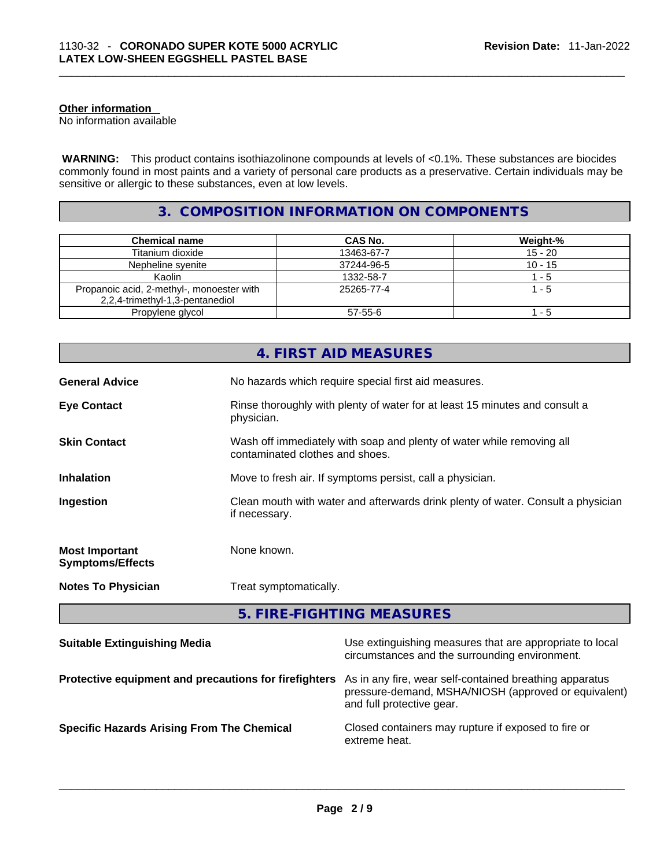#### **Other information**

No information available

 **WARNING:** This product contains isothiazolinone compounds at levels of <0.1%. These substances are biocides commonly found in most paints and a variety of personal care products as a preservative. Certain individuals may be sensitive or allergic to these substances, even at low levels.

#### **3. COMPOSITION INFORMATION ON COMPONENTS**

| <b>Chemical name</b>                                                         | <b>CAS No.</b> | Weight-%  |
|------------------------------------------------------------------------------|----------------|-----------|
| Titanium dioxide                                                             | 13463-67-7     | $15 - 20$ |
| Nepheline syenite                                                            | 37244-96-5     | $10 - 15$ |
| Kaolin                                                                       | 1332-58-7      | 1 - 5     |
| Propanoic acid, 2-methyl-, monoester with<br>2,2,4-trimethyl-1,3-pentanediol | 25265-77-4     | $1 - 5$   |
| Propylene glycol                                                             | 57-55-6        | - 5       |

| No hazards which require special first aid measures.<br><b>General Advice</b><br><b>Eye Contact</b><br>Rinse thoroughly with plenty of water for at least 15 minutes and consult a<br>physician.<br>Wash off immediately with soap and plenty of water while removing all<br><b>Skin Contact</b><br>contaminated clothes and shoes.<br>Inhalation<br>Move to fresh air. If symptoms persist, call a physician.<br>Clean mouth with water and afterwards drink plenty of water. Consult a physician<br>Ingestion |
|-----------------------------------------------------------------------------------------------------------------------------------------------------------------------------------------------------------------------------------------------------------------------------------------------------------------------------------------------------------------------------------------------------------------------------------------------------------------------------------------------------------------|
|                                                                                                                                                                                                                                                                                                                                                                                                                                                                                                                 |
|                                                                                                                                                                                                                                                                                                                                                                                                                                                                                                                 |
|                                                                                                                                                                                                                                                                                                                                                                                                                                                                                                                 |
|                                                                                                                                                                                                                                                                                                                                                                                                                                                                                                                 |
| if necessary.                                                                                                                                                                                                                                                                                                                                                                                                                                                                                                   |
| None known.<br><b>Most Important</b><br><b>Symptoms/Effects</b>                                                                                                                                                                                                                                                                                                                                                                                                                                                 |
| Treat symptomatically.<br><b>Notes To Physician</b>                                                                                                                                                                                                                                                                                                                                                                                                                                                             |

| <b>Suitable Extinguishing Media</b>                   | Use extinguishing measures that are appropriate to local<br>circumstances and the surrounding environment.                                   |
|-------------------------------------------------------|----------------------------------------------------------------------------------------------------------------------------------------------|
| Protective equipment and precautions for firefighters | As in any fire, wear self-contained breathing apparatus<br>pressure-demand, MSHA/NIOSH (approved or equivalent)<br>and full protective gear. |
| <b>Specific Hazards Arising From The Chemical</b>     | Closed containers may rupture if exposed to fire or<br>extreme heat.                                                                         |
|                                                       |                                                                                                                                              |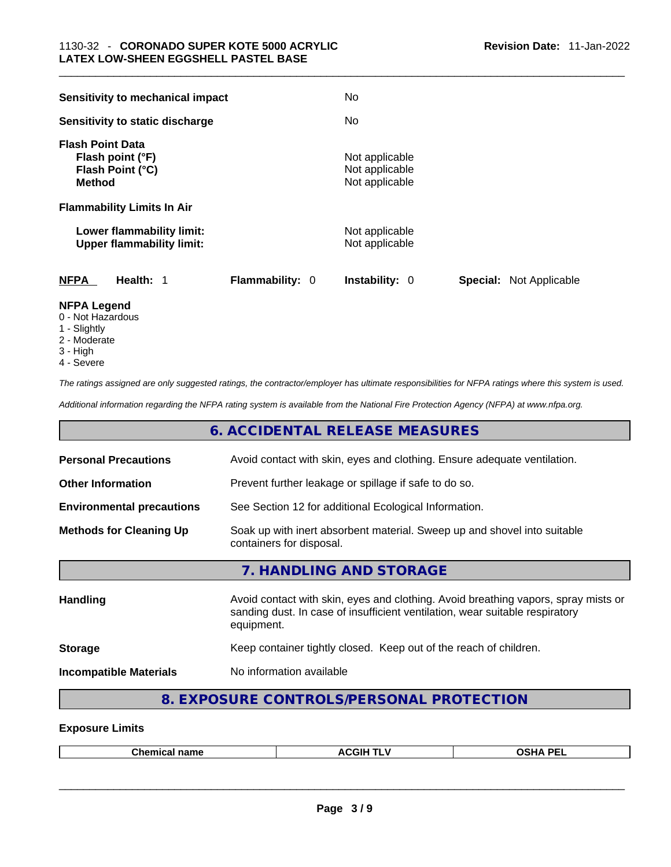| Sensitivity to mechanical impact                                                 | No.                                                     |
|----------------------------------------------------------------------------------|---------------------------------------------------------|
| Sensitivity to static discharge                                                  | No.                                                     |
| <b>Flash Point Data</b><br>Flash point (°F)<br>Flash Point (°C)<br><b>Method</b> | Not applicable<br>Not applicable<br>Not applicable      |
| <b>Flammability Limits In Air</b>                                                |                                                         |
| Lower flammability limit:<br><b>Upper flammability limit:</b>                    | Not applicable<br>Not applicable                        |
| <b>NFPA</b><br><b>Flammability: 0</b><br>Health: 1                               | <b>Instability: 0</b><br><b>Special: Not Applicable</b> |
| <b>NEDA</b> LANAMA                                                               |                                                         |

- **NFPA Legend**
- 0 Not Hazardous 1 - Slightly
- 2 Moderate
- 3 High
- 4 Severe

*The ratings assigned are only suggested ratings, the contractor/employer has ultimate responsibilities for NFPA ratings where this system is used.* 

*Additional information regarding the NFPA rating system is available from the National Fire Protection Agency (NFPA) at www.nfpa.org.* 

#### **6. ACCIDENTAL RELEASE MEASURES**

| <b>Personal Precautions</b>                                                                                                            | Avoid contact with skin, eyes and clothing. Ensure adequate ventilation.                                                                                                         |
|----------------------------------------------------------------------------------------------------------------------------------------|----------------------------------------------------------------------------------------------------------------------------------------------------------------------------------|
| <b>Other Information</b>                                                                                                               | Prevent further leakage or spillage if safe to do so.                                                                                                                            |
| <b>Environmental precautions</b>                                                                                                       | See Section 12 for additional Ecological Information.                                                                                                                            |
| Soak up with inert absorbent material. Sweep up and shovel into suitable<br><b>Methods for Cleaning Up</b><br>containers for disposal. |                                                                                                                                                                                  |
|                                                                                                                                        | 7. HANDLING AND STORAGE                                                                                                                                                          |
| Handling                                                                                                                               | Avoid contact with skin, eyes and clothing. Avoid breathing vapors, spray mists or<br>sanding dust. In case of insufficient ventilation, wear suitable respiratory<br>equipment. |
| <b>Storage</b>                                                                                                                         | Keep container tightly closed. Keep out of the reach of children.                                                                                                                |
| <b>Incompatible Materials</b>                                                                                                          | No information available                                                                                                                                                         |
|                                                                                                                                        |                                                                                                                                                                                  |

## **8. EXPOSURE CONTROLS/PERSONAL PROTECTION**

#### **Exposure Limits**

| Chemical<br>name | <b>ACGIH TLV</b> | <b>OSHA PEL</b> |
|------------------|------------------|-----------------|
|                  |                  |                 |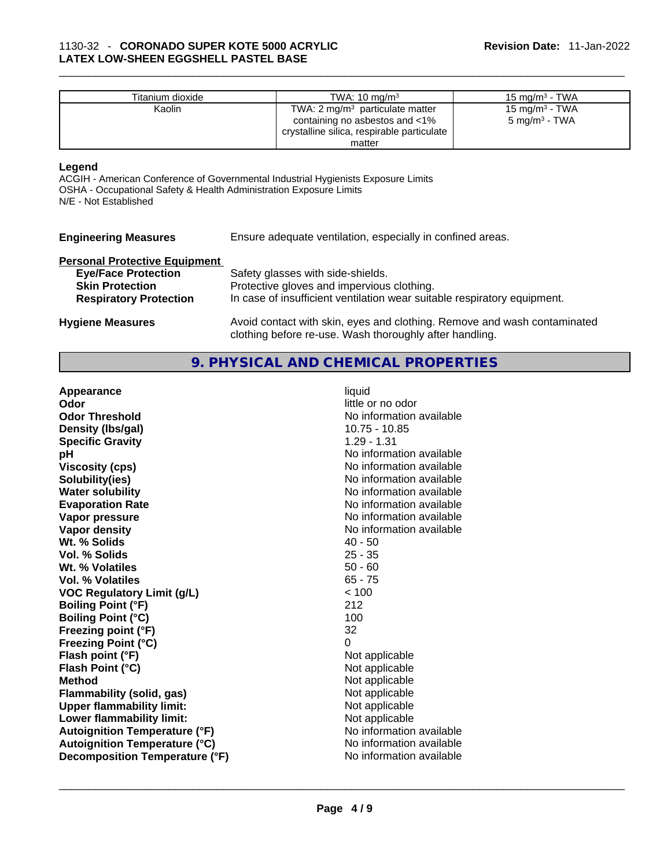| Titanium dioxide | TWA: $10 \text{ ma/m}^3$                   | 15 mg/m $3$ - TWA |
|------------------|--------------------------------------------|-------------------|
| Kaolin           | TWA: $2 \text{ mq/m}^3$ particulate matter | 15 mg/m $3$ - TWA |
|                  | containing no asbestos and $<$ 1%          | 5 mg/m $^3$ - TWA |
|                  | crystalline silica, respirable particulate |                   |
|                  | matter                                     |                   |

#### **Legend**

ACGIH - American Conference of Governmental Industrial Hygienists Exposure Limits OSHA - Occupational Safety & Health Administration Exposure Limits N/E - Not Established

| <b>Engineering Measures</b> | <b>Ensure</b> |
|-----------------------------|---------------|
|-----------------------------|---------------|

adequate ventilation, especially in confined areas.

## **Personal Protective Equipment**

| <b>Eye/Face Protection</b>    | Safety glasses with side-shields.                                                                                                   |
|-------------------------------|-------------------------------------------------------------------------------------------------------------------------------------|
| <b>Skin Protection</b>        | Protective gloves and impervious clothing.                                                                                          |
| <b>Respiratory Protection</b> | In case of insufficient ventilation wear suitable respiratory equipment.                                                            |
| <b>Hygiene Measures</b>       | Avoid contact with skin, eyes and clothing. Remove and wash contaminated<br>clothing before re-use. Wash thoroughly after handling. |

#### **9. PHYSICAL AND CHEMICAL PROPERTIES**

| Appearance                           | liquid                   |  |
|--------------------------------------|--------------------------|--|
| Odor                                 | little or no odor        |  |
| <b>Odor Threshold</b>                | No information available |  |
| Density (Ibs/gal)                    | 10.75 - 10.85            |  |
| <b>Specific Gravity</b>              | $1.29 - 1.31$            |  |
| pH                                   | No information available |  |
| <b>Viscosity (cps)</b>               | No information available |  |
| Solubility(ies)                      | No information available |  |
| <b>Water solubility</b>              | No information available |  |
| <b>Evaporation Rate</b>              | No information available |  |
| Vapor pressure                       | No information available |  |
| Vapor density                        | No information available |  |
| Wt. % Solids                         | $40 - 50$                |  |
| Vol. % Solids                        | $25 - 35$                |  |
| Wt. % Volatiles                      | $50 - 60$                |  |
| <b>Vol. % Volatiles</b>              | $65 - 75$                |  |
| <b>VOC Regulatory Limit (g/L)</b>    | < 100                    |  |
| <b>Boiling Point (°F)</b>            | 212                      |  |
| <b>Boiling Point (°C)</b>            | 100                      |  |
| Freezing point (°F)                  | 32                       |  |
| <b>Freezing Point (°C)</b>           | $\Omega$                 |  |
| Flash point (°F)                     | Not applicable           |  |
| Flash Point (°C)                     | Not applicable           |  |
| <b>Method</b>                        | Not applicable           |  |
| Flammability (solid, gas)            | Not applicable           |  |
| <b>Upper flammability limit:</b>     | Not applicable           |  |
| Lower flammability limit:            | Not applicable           |  |
| <b>Autoignition Temperature (°F)</b> | No information available |  |
| <b>Autoignition Temperature (°C)</b> | No information available |  |
| Decomposition Temperature (°F)       | No information available |  |
|                                      |                          |  |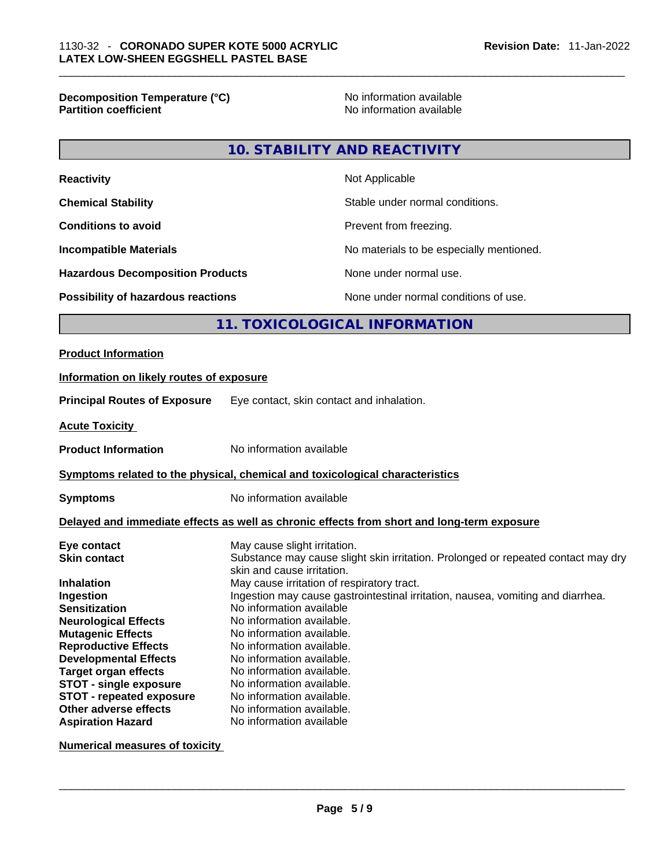**Decomposition Temperature (°C)** No information available **Partition coefficient** 

### **10. STABILITY AND REACTIVITY**

| <b>Reactivity</b>                         | Not Applicable                           |
|-------------------------------------------|------------------------------------------|
| <b>Chemical Stability</b>                 | Stable under normal conditions.          |
| <b>Conditions to avoid</b>                | Prevent from freezing.                   |
| <b>Incompatible Materials</b>             | No materials to be especially mentioned. |
| <b>Hazardous Decomposition Products</b>   | None under normal use.                   |
| <b>Possibility of hazardous reactions</b> | None under normal conditions of use.     |

#### **11. TOXICOLOGICAL INFORMATION**

#### **Product Information**

## **Information on likely routes of exposure Principal Routes of Exposure** Eye contact, skin contact and inhalation. **Acute Toxicity**

**Product Information** No information available

#### **<u>Symptoms related to the physical, chemical and toxicological characteristics</u>**

**Symptoms** No information available

#### **Delayed and immediate effects as well as chronic effects from short and long-term exposure**

| Eye contact                     | May cause slight irritation.                                                      |
|---------------------------------|-----------------------------------------------------------------------------------|
| <b>Skin contact</b>             | Substance may cause slight skin irritation. Prolonged or repeated contact may dry |
|                                 | skin and cause irritation.                                                        |
| <b>Inhalation</b>               | May cause irritation of respiratory tract.                                        |
| Ingestion                       | Ingestion may cause gastrointestinal irritation, nausea, vomiting and diarrhea.   |
| <b>Sensitization</b>            | No information available                                                          |
| <b>Neurological Effects</b>     | No information available.                                                         |
| <b>Mutagenic Effects</b>        | No information available.                                                         |
| <b>Reproductive Effects</b>     | No information available.                                                         |
| <b>Developmental Effects</b>    | No information available.                                                         |
| <b>Target organ effects</b>     | No information available.                                                         |
| <b>STOT - single exposure</b>   | No information available.                                                         |
| <b>STOT - repeated exposure</b> | No information available.                                                         |
| Other adverse effects           | No information available.                                                         |
| <b>Aspiration Hazard</b>        | No information available                                                          |

#### **Numerical measures of toxicity**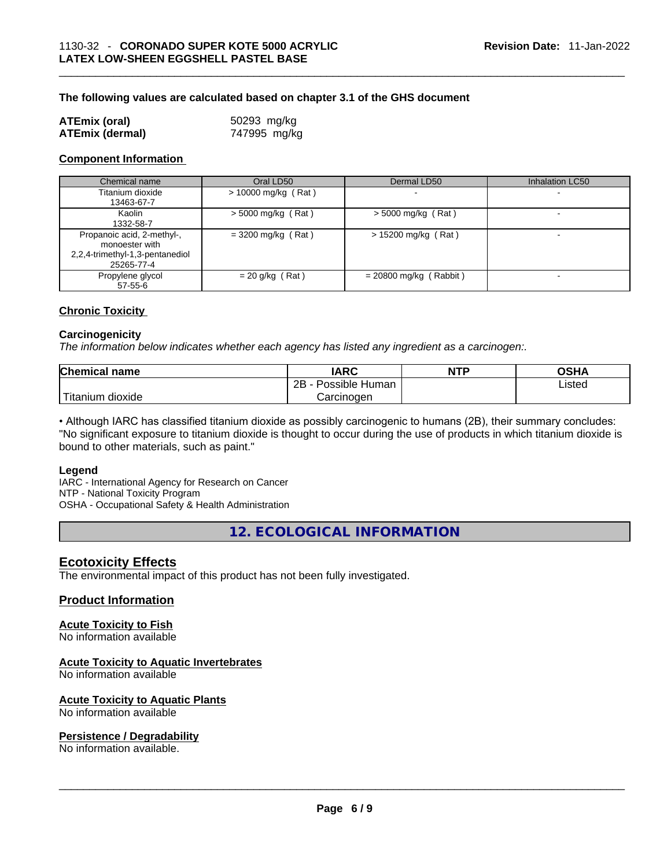#### **The following values are calculated based on chapter 3.1 of the GHS document**

| <b>ATEmix (oral)</b>   | 50293 mg/kg  |
|------------------------|--------------|
| <b>ATEmix (dermal)</b> | 747995 mg/kg |

#### **Component Information**

| Chemical name                                                                                 | Oral LD50             | Dermal LD50              | <b>Inhalation LC50</b> |
|-----------------------------------------------------------------------------------------------|-----------------------|--------------------------|------------------------|
| Titanium dioxide<br>13463-67-7                                                                | $> 10000$ mg/kg (Rat) |                          |                        |
| Kaolin<br>1332-58-7                                                                           | $>$ 5000 mg/kg (Rat)  | $>$ 5000 mg/kg (Rat)     |                        |
| Propanoic acid, 2-methyl-,<br>monoester with<br>2,2,4-trimethyl-1,3-pentanediol<br>25265-77-4 | $=$ 3200 mg/kg (Rat)  | $> 15200$ mg/kg (Rat)    |                        |
| Propylene glycol<br>$57 - 55 - 6$                                                             | $= 20$ g/kg (Rat)     | $= 20800$ mg/kg (Rabbit) |                        |

#### **Chronic Toxicity**

#### **Carcinogenicity**

*The information below indicates whether each agency has listed any ingredient as a carcinogen:.* 

| <b>Chemical name</b>  | IARC                 | <b>NTP</b> | OSHA   |
|-----------------------|----------------------|------------|--------|
|                       | Possible Human<br>2B |            | ∟isted |
| Titanium J<br>dioxide | Carcinoɑen           |            |        |

• Although IARC has classified titanium dioxide as possibly carcinogenic to humans (2B), their summary concludes: "No significant exposure to titanium dioxide is thought to occur during the use of products in which titanium dioxide is bound to other materials, such as paint."

#### **Legend**

IARC - International Agency for Research on Cancer NTP - National Toxicity Program OSHA - Occupational Safety & Health Administration

**12. ECOLOGICAL INFORMATION** 

#### **Ecotoxicity Effects**

The environmental impact of this product has not been fully investigated.

#### **Product Information**

#### **Acute Toxicity to Fish**

No information available

#### **Acute Toxicity to Aquatic Invertebrates**

No information available

## **Acute Toxicity to Aquatic Plants**

# No information available \_\_\_\_\_\_\_\_\_\_\_\_\_\_\_\_\_\_\_\_\_\_\_\_\_\_\_\_\_\_\_\_\_\_\_\_\_\_\_\_\_\_\_\_\_\_\_\_\_\_\_\_\_\_\_\_\_\_\_\_\_\_\_\_\_\_\_\_\_\_\_\_\_\_\_\_\_\_\_\_\_\_\_\_\_\_\_\_\_\_\_\_\_ **Persistence / Degradability**

No information available.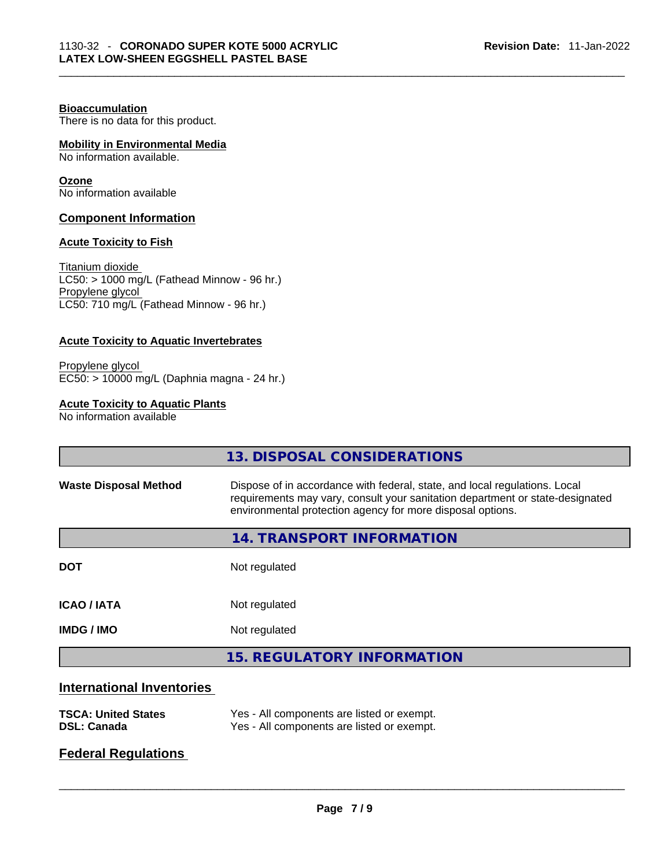#### **Bioaccumulation**

There is no data for this product.

#### **Mobility in Environmental Media**

No information available.

#### **Ozone**

No information available

#### **Component Information**

#### **Acute Toxicity to Fish**

Titanium dioxide  $\overline{\text{LC50:}}$  > 1000 mg/L (Fathead Minnow - 96 hr.) Propylene glycol LC50: 710 mg/L (Fathead Minnow - 96 hr.)

#### **Acute Toxicity to Aquatic Invertebrates**

Propylene glycol EC50: > 10000 mg/L (Daphnia magna - 24 hr.)

#### **Acute Toxicity to Aquatic Plants**

No information available

|                                  | 13. DISPOSAL CONSIDERATIONS                                                                                                                                                                                               |
|----------------------------------|---------------------------------------------------------------------------------------------------------------------------------------------------------------------------------------------------------------------------|
| <b>Waste Disposal Method</b>     | Dispose of in accordance with federal, state, and local regulations. Local<br>requirements may vary, consult your sanitation department or state-designated<br>environmental protection agency for more disposal options. |
|                                  | 14. TRANSPORT INFORMATION                                                                                                                                                                                                 |
| <b>DOT</b>                       | Not regulated                                                                                                                                                                                                             |
| <b>ICAO / IATA</b>               | Not regulated                                                                                                                                                                                                             |
| <b>IMDG / IMO</b>                | Not regulated                                                                                                                                                                                                             |
|                                  | <b>15. REGULATORY INFORMATION</b>                                                                                                                                                                                         |
| <b>International Inventories</b> |                                                                                                                                                                                                                           |

| <b>TSCA: United States</b> | Yes - All components are listed or exempt. |
|----------------------------|--------------------------------------------|
| <b>DSL: Canada</b>         | Yes - All components are listed or exempt. |

#### **Federal Regulations**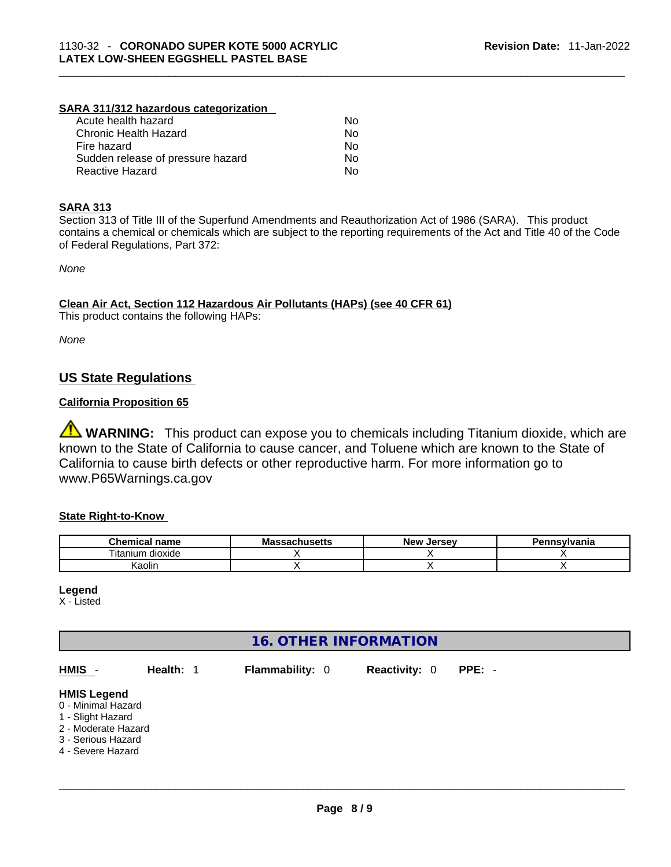#### **SARA 311/312 hazardous categorization**

| Acute health hazard               | No |
|-----------------------------------|----|
| Chronic Health Hazard             | Nο |
| Fire hazard                       | Nο |
| Sudden release of pressure hazard | Nο |
| Reactive Hazard                   | Nο |

#### **SARA 313**

Section 313 of Title III of the Superfund Amendments and Reauthorization Act of 1986 (SARA). This product contains a chemical or chemicals which are subject to the reporting requirements of the Act and Title 40 of the Code of Federal Regulations, Part 372:

*None*

#### **Clean Air Act,Section 112 Hazardous Air Pollutants (HAPs) (see 40 CFR 61)**

This product contains the following HAPs:

*None*

#### **US State Regulations**

#### **California Proposition 65**

**WARNING:** This product can expose you to chemicals including Titanium dioxide, which are known to the State of California to cause cancer, and Toluene which are known to the State of California to cause birth defects or other reproductive harm. For more information go to www.P65Warnings.ca.gov

#### **State Right-to-Know**

| <b>Chemical</b><br>name           | <b>Massachusetts</b> | New<br>. Jersev | Pennsylvania |
|-----------------------------------|----------------------|-----------------|--------------|
| $- \cdot$ .<br>itanium<br>dioxide |                      |                 |              |
| <br>Kaolir                        |                      |                 |              |

**Legend**

X - Listed

#### **16. OTHER INFORMATION**

| HMIS -                                                                                                                          | Health: 1 | <b>Flammability: 0</b> | <b>Reactivity: 0</b> | $PPE: -$ |
|---------------------------------------------------------------------------------------------------------------------------------|-----------|------------------------|----------------------|----------|
| <b>HMIS Legend</b><br>0 - Minimal Hazard<br>1 - Slight Hazard<br>2 - Moderate Hazard<br>3 - Serious Hazard<br>4 - Severe Hazard |           |                        |                      |          |